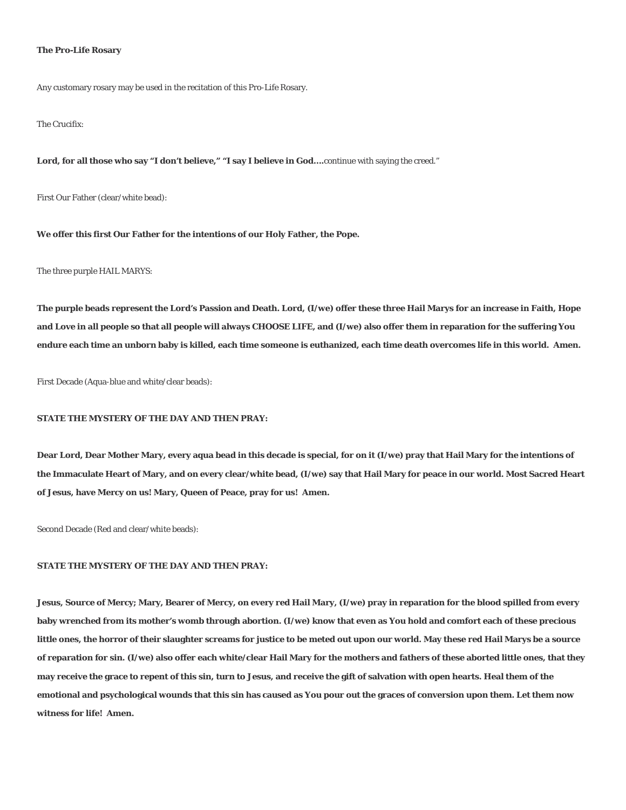#### **The Pro-Life Rosary**

Any customary rosary may be used in the recitation of this Pro-Life Rosary.

The Crucifix:

Lord, for all those who say "I don't believe," "I say I believe in God....continue with saying the creed."

First Our Father (clear/white bead):

**We offer this first Our Father for the intentions of our Holy Father, the Pope.**

The three purple HAIL MARYS:

**The purple beads represent the Lord's Passion and Death. Lord, (I/we) offer these three Hail Marys for an increase in Faith, Hope and Love in all people so that all people will always CHOOSE LIFE, and (I/we) also offer them in reparation for the suffering You endure each time an unborn baby is killed, each time someone is euthanized, each time death overcomes life in this world. Amen.**

First Decade (Aqua-blue and white/clear beads):

### **STATE THE MYSTERY OF THE DAY AND THEN PRAY:**

**Dear Lord, Dear Mother Mary, every aqua bead in this decade is special, for on it (I/we) pray that Hail Mary for the intentions of the Immaculate Heart of Mary, and on every clear/white bead, (I/we) say that Hail Mary for peace in our world. Most Sacred Heart of Jesus, have Mercy on us! Mary, Queen of Peace, pray for us! Amen.**

Second Decade (Red and clear/white beads):

## **STATE THE MYSTERY OF THE DAY AND THEN PRAY:**

**Jesus, Source of Mercy; Mary, Bearer of Mercy, on every red Hail Mary, (I/we) pray in reparation for the blood spilled from every baby wrenched from its mother's womb through abortion. (I/we) know that even as You hold and comfort each of these precious little ones, the horror of their slaughter screams for justice to be meted out upon our world. May these red Hail Marys be a source of reparation for sin. (I/we) also offer each white/clear Hail Mary for the mothers and fathers of these aborted little ones, that they may receive the grace to repent of this sin, turn to Jesus, and receive the gift of salvation with open hearts. Heal them of the emotional and psychological wounds that this sin has caused as You pour out the graces of conversion upon them. Let them now witness for life! Amen.**